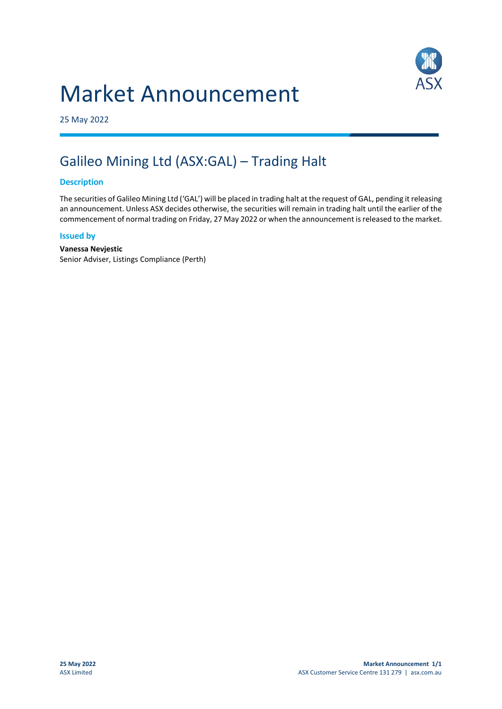# Market Announcement



25 May 2022

## Galileo Mining Ltd (ASX:GAL) – Trading Halt

### **Description**

The securities of Galileo Mining Ltd ('GAL') will be placed in trading halt at the request of GAL, pending it releasing an announcement. Unless ASX decides otherwise, the securities will remain in trading halt until the earlier of the commencement of normal trading on Friday, 27 May 2022 or when the announcement is released to the market.

#### **Issued by**

**Vanessa Nevjestic** Senior Adviser, Listings Compliance (Perth)